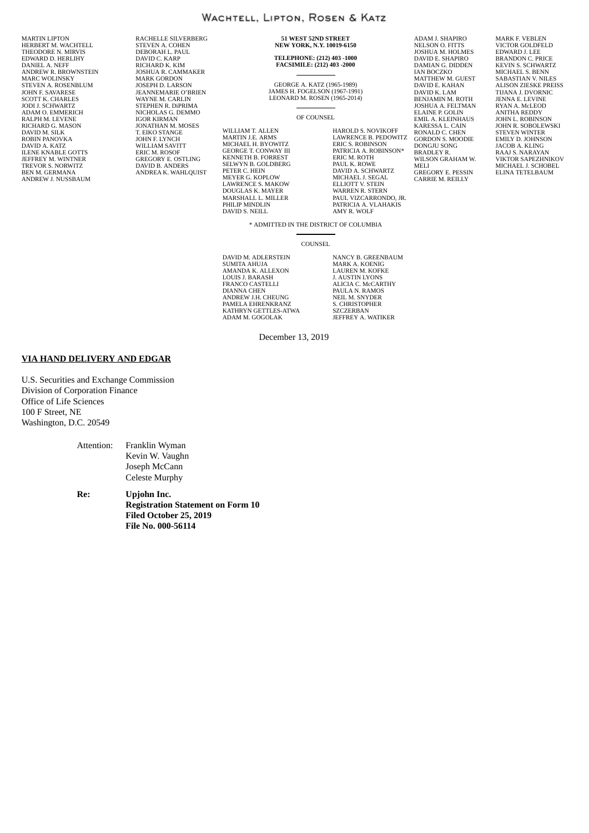MARTIN LIPTON HERBERT M. WACHTELL THEODORE N. MIRVIS EDWARD D. HERLIHY DANIEL A. NEFF ANDREW R. BROWNSTEIN MARC WOLINSKY STEVEN A. ROSENBLUM JOHN F. SAVARESE SCOTT K. CHARLES JODI J. SCHWARTZ ADAM O. EMMERICH RALPH M. LEVENE RICHARD G. MASON DAVID M. SILK ROBIN PANOVKA DAVID A. KATZ ILENE KNABLE GOTTS JEFFREY M. WINTNER TREVOR S. NORWITZ BEN M. GERMANA ANDREW J. NUSSBAUM

RACHELLE SILVERBERG STEVEN A. COHEN DEBORAH L. PAUL DEBOKALL E. FA RICHARD K. KIM JOSHUA R. CAMMAKER MARK GORDON JOSEPH D. LARSON JEANNEMARIE O'BRIEN WAYNE M. CARLIN STEPHEN R. DiPRIMA NICHOLAS G. DEMMO IGOR KIRMAN JONATHAN M. MOSES T. EIKO STANGE JOHN F. LYNCH WILLIAM SAVITT ERIC M. ROSOF GREGORY E. OSTLING DAVID B. ANDERS ANDREA K. WAHLQUIST

**51 WEST 52ND STREET NEW YORK, N.Y. 10019-6150**

# **TELEPHONE: (212) 403 -1000 FACSIMILE: (212) 403 -2000**

GEORGE A. KATZ (1965-1989) JAMES H. FOGELSON (1967-1991) LEONARD M. ROSEN (1965-2014)

OF COUNSEL

WILLIAM T. ALLEN MARTIN J.E. ARMS MICHAEL H. BYOWITZ GEORGE T. CONWAY III KENNETH B. FORREST SELWYN B. GOLDBERG PETER C. HEIN MEYER G. KOPLOW LAWRENCE S. MAKOW DOUGLAS K. MAYER MARSHALL L. MILLER PHILIP MINDLIN DAVID S. NEILL

MELI HAROLD S. NOVIKOFF LAWRENCE B. PEDOWITZ ERIC S. ROBINSON PATRICIA A. ROBINSON\* ERIC M. ROTH PAUL K. ROWE DAVID A. SCHWARTZ MICHAEL J. SEGAL ELLIOTT V. STEIN WARREN R. STERN PAUL VIZCARRONDO, JR. PATRICIA A. VLAHAKIS AMY R. WOLF

ADAM J. SHAPIRO NELSON O. FITTS JOSHUA M. HOLMES DAVID E. SHAPIRO DAMIAN G. DIDDEN IAN BOCZKO MATTHEW M. GUEST DAVID E. KAHAN DAVID K. LAM BENJAMIN M. ROTH JOSHUA A. FELTMAN ELAINE P. GOLIN EMIL A. KLEINHAUS KARESSA L. CAIN RONALD C. CHEN GORDON S. MOODIE DONGJU SONG BRADLEY R. WILSON GRAHAM W. GREGORY E. PESSIN CARRIE M. REILLY MARK F. VEBLEN VICTOR GOLDFELD EDWARD J. LEE BRANDON C. PRICE KEVIN S. SCHWARTZ MICHAEL S. BENN SABASTIAN V. NILES ALISON ZIESKE PREISS TIJANA J. DVORNIC JENNA E. LEVINE RYAN A. McLEOD ANITHA REDDY JOHN L. ROBINSON<br>JOHN R. SOBOLEWSKI<br>STEVEN WINTER<br>EMILY D. JOHNSON<br>JACOB A. KLING<br>RAAJ S. NARAYAN<br>VIKTOR SAPEZHNIKOV MICHAEL J. SCHOBEL ELINA TETELBAUM

\* ADMITTED IN THE DISTRICT OF COLUMBIA

**COUNSEL** 

DAVID M. ADLERSTEIN SUMITA AHUJA AMANDA K. ALLEXON LOUIS J. BARASH FRANCO CASTELLI DIANNA CHEN ANDREW J.H. CHEUNG PAMELA EHRENKRANZ KATHRYN GETTLES-ATWA ADAM M. GOGOLAK

NANCY B. GREENBAUM MARK A. KOENIG LAUREN M. KOFKE J. AUSTIN LYONS ALICIA C. McCARTHY PAULA N. RAMOS NEIL M. SNYDER S. CHRISTOPHER SZCZERBAN JEFFREY A. WATIKER

December 13, 2019

#### **VIA HAND DELIVERY AND EDGAR**

U.S. Securities and Exchange Commission Division of Corporation Finance Office of Life Sciences 100 F Street, NE Washington, D.C. 20549

> Attention: Franklin Wyman Kevin W. Vaughn Joseph McCann Celeste Murphy

**Re: Upjohn Inc. Registration Statement on Form 10 Filed October 25, 2019 File No. 000-56114**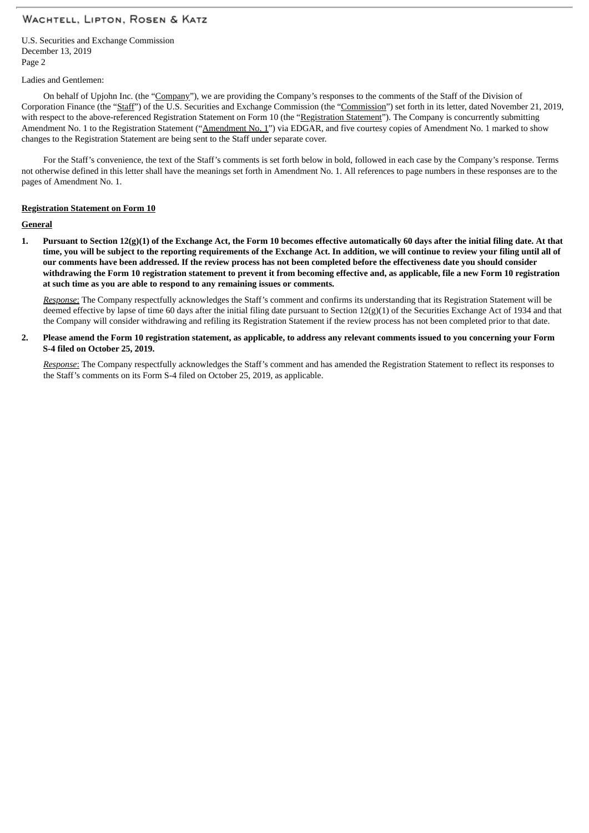U.S. Securities and Exchange Commission December 13, 2019 Page 2

#### Ladies and Gentlemen:

On behalf of Upjohn Inc. (the "Company"), we are providing the Company's responses to the comments of the Staff of the Division of Corporation Finance (the "Staff") of the U.S. Securities and Exchange Commission (the "Commission") set forth in its letter, dated November 21, 2019, with respect to the above-referenced Registration Statement on Form 10 (the "Registration Statement"). The Company is concurrently submitting Amendment No. 1 to the Registration Statement ("Amendment No. 1") via EDGAR, and five courtesy copies of Amendment No. 1 marked to show changes to the Registration Statement are being sent to the Staff under separate cover.

For the Staff's convenience, the text of the Staff's comments is set forth below in bold, followed in each case by the Company's response. Terms not otherwise defined in this letter shall have the meanings set forth in Amendment No. 1. All references to page numbers in these responses are to the pages of Amendment No. 1.

#### **Registration Statement on Form 10**

#### **General**

1. Pursuant to Section 12(g)(1) of the Exchange Act, the Form 10 becomes effective automatically 60 days after the initial filing date. At that time, you will be subject to the reporting requirements of the Exchange Act. In addition, we will continue to review your filing until all of our comments have been addressed. If the review process has not been completed before the effectiveness date you should consider withdrawing the Form 10 registration statement to prevent it from becoming effective and, as applicable, file a new Form 10 registration **at such time as you are able to respond to any remaining issues or comments.**

*Response*: The Company respectfully acknowledges the Staff's comment and confirms its understanding that its Registration Statement will be deemed effective by lapse of time 60 days after the initial filing date pursuant to Section 12(g)(1) of the Securities Exchange Act of 1934 and that the Company will consider withdrawing and refiling its Registration Statement if the review process has not been completed prior to that date.

2. Please amend the Form 10 registration statement, as applicable, to address any relevant comments issued to you concerning your Form **S-4 filed on October 25, 2019.**

*Response*: The Company respectfully acknowledges the Staff's comment and has amended the Registration Statement to reflect its responses to the Staff's comments on its Form S-4 filed on October 25, 2019, as applicable.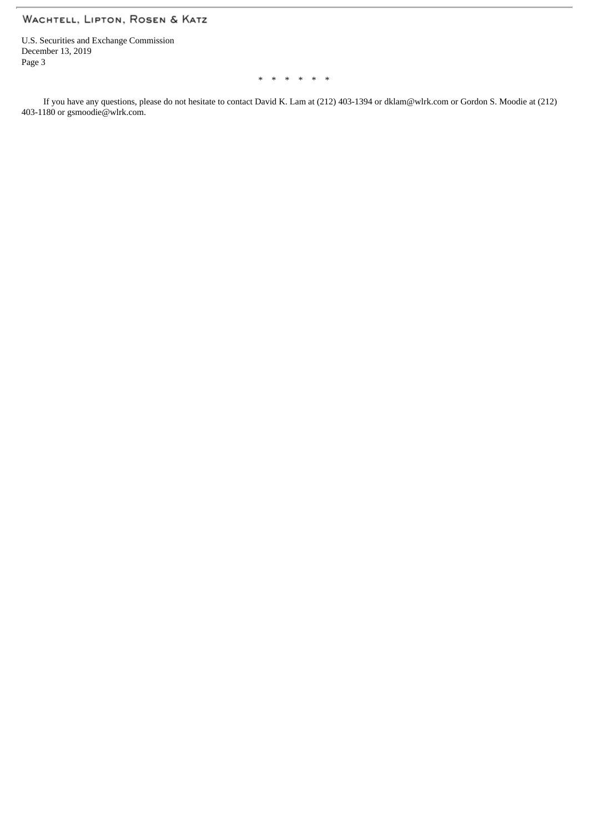U.S. Securities and Exchange Commission December 13, 2019 Page 3

\* \* \* \* \* \*

If you have any questions, please do not hesitate to contact David K. Lam at (212) 403-1394 or dklam@wlrk.com or Gordon S. Moodie at (212) 403-1180 or gsmoodie@wlrk.com.